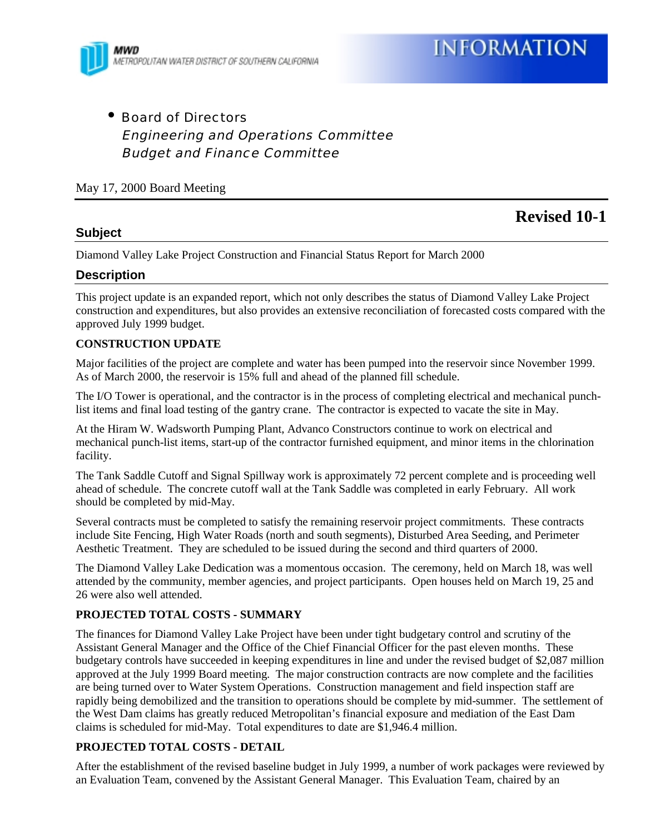

• Board of Directors Engineering and Operations Committee Budget and Finance Committee

## May 17, 2000 Board Meeting

**Revised 10-1**

## **Subject**

Diamond Valley Lake Project Construction and Financial Status Report for March 2000

### **Description**

This project update is an expanded report, which not only describes the status of Diamond Valley Lake Project construction and expenditures, but also provides an extensive reconciliation of forecasted costs compared with the approved July 1999 budget.

#### **CONSTRUCTION UPDATE**

Major facilities of the project are complete and water has been pumped into the reservoir since November 1999. As of March 2000, the reservoir is 15% full and ahead of the planned fill schedule.

The I/O Tower is operational, and the contractor is in the process of completing electrical and mechanical punchlist items and final load testing of the gantry crane. The contractor is expected to vacate the site in May.

At the Hiram W. Wadsworth Pumping Plant, Advanco Constructors continue to work on electrical and mechanical punch-list items, start-up of the contractor furnished equipment, and minor items in the chlorination facility.

The Tank Saddle Cutoff and Signal Spillway work is approximately 72 percent complete and is proceeding well ahead of schedule. The concrete cutoff wall at the Tank Saddle was completed in early February. All work should be completed by mid-May.

Several contracts must be completed to satisfy the remaining reservoir project commitments. These contracts include Site Fencing, High Water Roads (north and south segments), Disturbed Area Seeding, and Perimeter Aesthetic Treatment. They are scheduled to be issued during the second and third quarters of 2000.

The Diamond Valley Lake Dedication was a momentous occasion. The ceremony, held on March 18, was well attended by the community, member agencies, and project participants. Open houses held on March 19, 25 and 26 were also well attended.

### **PROJECTED TOTAL COSTS - SUMMARY**

The finances for Diamond Valley Lake Project have been under tight budgetary control and scrutiny of the Assistant General Manager and the Office of the Chief Financial Officer for the past eleven months. These budgetary controls have succeeded in keeping expenditures in line and under the revised budget of \$2,087 million approved at the July 1999 Board meeting. The major construction contracts are now complete and the facilities are being turned over to Water System Operations. Construction management and field inspection staff are rapidly being demobilized and the transition to operations should be complete by mid-summer. The settlement of the West Dam claims has greatly reduced Metropolitan's financial exposure and mediation of the East Dam claims is scheduled for mid-May. Total expenditures to date are \$1,946.4 million.

### **PROJECTED TOTAL COSTS - DETAIL**

After the establishment of the revised baseline budget in July 1999, a number of work packages were reviewed by an Evaluation Team, convened by the Assistant General Manager. This Evaluation Team, chaired by an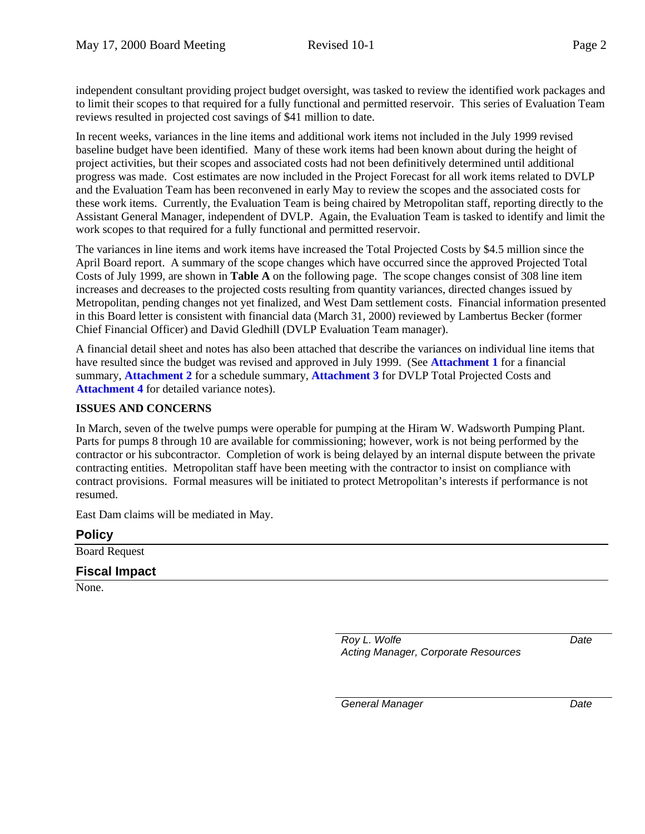independent consultant providing project budget oversight, was tasked to review the identified work packages and to limit their scopes to that required for a fully functional and permitted reservoir. This series of Evaluation Team reviews resulted in projected cost savings of \$41 million to date.

In recent weeks, variances in the line items and additional work items not included in the July 1999 revised baseline budget have been identified. Many of these work items had been known about during the height of project activities, but their scopes and associated costs had not been definitively determined until additional progress was made. Cost estimates are now included in the Project Forecast for all work items related to DVLP and the Evaluation Team has been reconvened in early May to review the scopes and the associated costs for these work items. Currently, the Evaluation Team is being chaired by Metropolitan staff, reporting directly to the Assistant General Manager, independent of DVLP. Again, the Evaluation Team is tasked to identify and limit the work scopes to that required for a fully functional and permitted reservoir.

The variances in line items and work items have increased the Total Projected Costs by \$4.5 million since the April Board report. A summary of the scope changes which have occurred since the approved Projected Total Costs of July 1999, are shown in **Table A** on the following page. The scope changes consist of 308 line item increases and decreases to the projected costs resulting from quantity variances, directed changes issued by Metropolitan, pending changes not yet finalized, and West Dam settlement costs. Financial information presented in this Board letter is consistent with financial data (March 31, 2000) reviewed by Lambertus Becker (former Chief Financial Officer) and David Gledhill (DVLP Evaluation Team manager).

A financial detail sheet and notes has also been attached that describe the variances on individual line items that have resulted since the budget was revised and approved in July 1999. (See **Attachment 1** for a financial summary, **Attachment 2** for a schedule summary, **Attachment 3** for DVLP Total Projected Costs and Attachment 4 for detailed variance notes).

# **ISSUES AND CONCERNS**

In March, seven of the twelve pumps were operable for pumping at the Hiram W. Wadsworth Pumping Plant. Parts for pumps 8 through 10 are available for commissioning; however, work is not being performed by the contractor or his subcontractor. Completion of work is being delayed by an internal dispute between the private contracting entities. Metropolitan staff have been meeting with the contractor to insist on compliance with contract provisions. Formal measures will be initiated to protect Metropolitan's interests if performance is not resumed.

East Dam claims will be mediated in May.

# **Policy**

Board Request

### **Fiscal Impact**

None.

*Roy L. Wolfe Acting Manager, Corporate Resources* *Date*

*General Manager Date*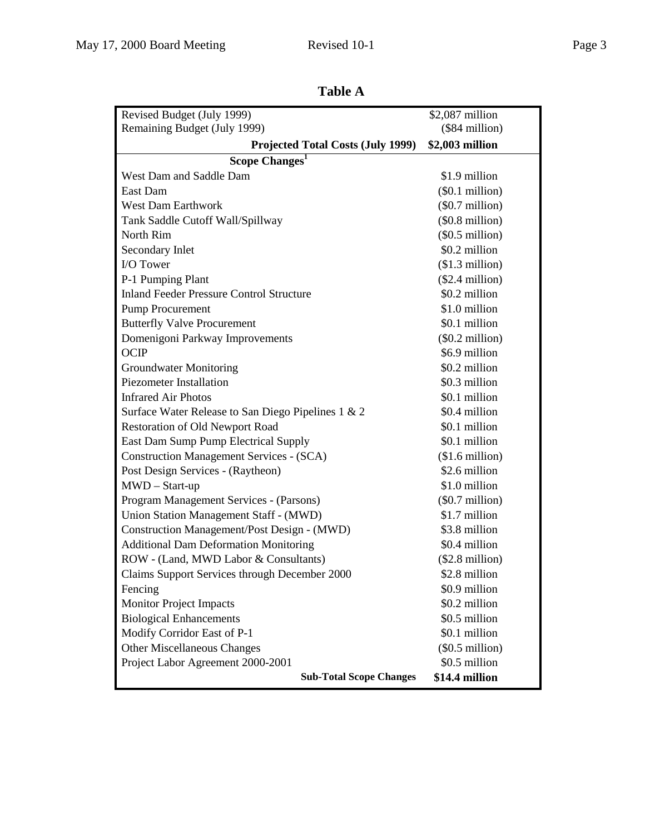| Revised Budget (July 1999)                         | \$2,087 million          |  |  |  |  |  |  |
|----------------------------------------------------|--------------------------|--|--|--|--|--|--|
| Remaining Budget (July 1999)                       | $($84$ million)          |  |  |  |  |  |  |
| <b>Projected Total Costs (July 1999)</b>           | \$2,003 million          |  |  |  |  |  |  |
| Scope Changes <sup>1</sup>                         |                          |  |  |  |  |  |  |
| West Dam and Saddle Dam                            | \$1.9 million            |  |  |  |  |  |  |
| East Dam                                           | $(\$0.1$ million)        |  |  |  |  |  |  |
| <b>West Dam Earthwork</b>                          | $(\$0.7$ million)        |  |  |  |  |  |  |
| Tank Saddle Cutoff Wall/Spillway                   | $(\$0.8$ million)        |  |  |  |  |  |  |
| North Rim                                          | $(\$0.5$ million)        |  |  |  |  |  |  |
| Secondary Inlet                                    | \$0.2 million            |  |  |  |  |  |  |
| I/O Tower                                          | $($1.3$ million)         |  |  |  |  |  |  |
| P-1 Pumping Plant                                  | $($2.4$ million)         |  |  |  |  |  |  |
| <b>Inland Feeder Pressure Control Structure</b>    | \$0.2 million            |  |  |  |  |  |  |
| <b>Pump Procurement</b>                            | \$1.0 million            |  |  |  |  |  |  |
| <b>Butterfly Valve Procurement</b>                 | \$0.1 million            |  |  |  |  |  |  |
| Domenigoni Parkway Improvements                    | $(\$0.2$ million)        |  |  |  |  |  |  |
| <b>OCIP</b>                                        | \$6.9 million            |  |  |  |  |  |  |
| <b>Groundwater Monitoring</b>                      | \$0.2 million            |  |  |  |  |  |  |
| <b>Piezometer Installation</b>                     | \$0.3 million            |  |  |  |  |  |  |
| <b>Infrared Air Photos</b>                         | \$0.1 million            |  |  |  |  |  |  |
| Surface Water Release to San Diego Pipelines 1 & 2 | \$0.4 million            |  |  |  |  |  |  |
| <b>Restoration of Old Newport Road</b>             | \$0.1 million            |  |  |  |  |  |  |
| East Dam Sump Pump Electrical Supply               | \$0.1 million            |  |  |  |  |  |  |
| <b>Construction Management Services - (SCA)</b>    | $($1.6 \text{ million})$ |  |  |  |  |  |  |
| Post Design Services - (Raytheon)                  | \$2.6 million            |  |  |  |  |  |  |
| $MWD - Start-up$                                   | \$1.0 million            |  |  |  |  |  |  |
| Program Management Services - (Parsons)            | $(\$0.7$ million)        |  |  |  |  |  |  |
| Union Station Management Staff - (MWD)             | \$1.7 million            |  |  |  |  |  |  |
| Construction Management/Post Design - (MWD)        | \$3.8 million            |  |  |  |  |  |  |
| <b>Additional Dam Deformation Monitoring</b>       | \$0.4 million            |  |  |  |  |  |  |
| ROW - (Land, MWD Labor & Consultants)              | $($2.8\text{ million})$  |  |  |  |  |  |  |
| Claims Support Services through December 2000      | \$2.8 million            |  |  |  |  |  |  |
| Fencing                                            | \$0.9 million            |  |  |  |  |  |  |
| <b>Monitor Project Impacts</b>                     | \$0.2 million            |  |  |  |  |  |  |
| <b>Biological Enhancements</b>                     | \$0.5 million            |  |  |  |  |  |  |
| Modify Corridor East of P-1                        | \$0.1 million            |  |  |  |  |  |  |
| <b>Other Miscellaneous Changes</b>                 | $(\$0.5$ million)        |  |  |  |  |  |  |
| Project Labor Agreement 2000-2001                  | \$0.5 million            |  |  |  |  |  |  |
| <b>Sub-Total Scope Changes</b>                     | \$14.4 million           |  |  |  |  |  |  |

**Table A**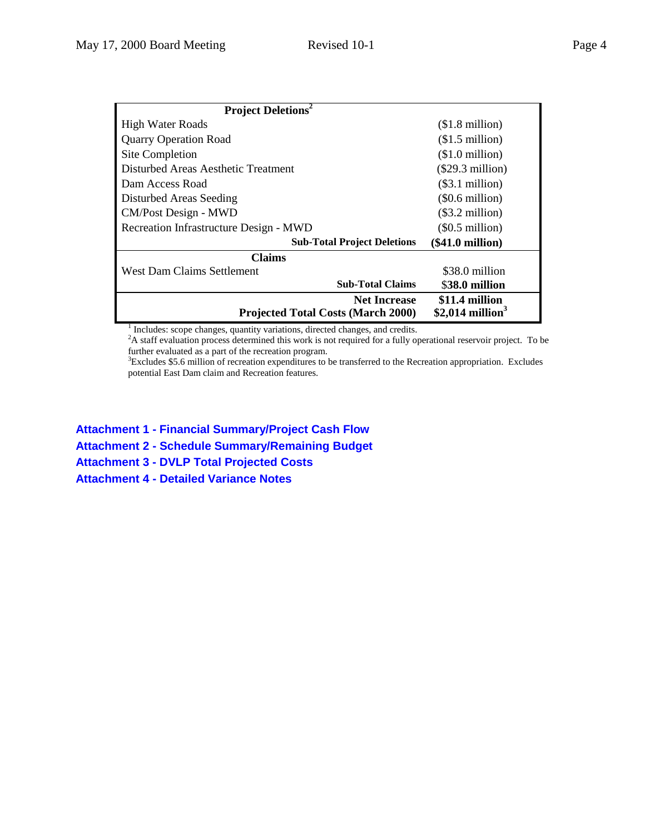|--|--|--|

| <b>Project Deletions</b> <sup>2</sup>                            |                                                 |
|------------------------------------------------------------------|-------------------------------------------------|
| <b>High Water Roads</b>                                          | $$1.8$ million)                                 |
| <b>Quarry Operation Road</b>                                     | $$1.5$ million)                                 |
| Site Completion                                                  | $($1.0 \text{ million})$                        |
| Disturbed Areas Aesthetic Treatment                              | $(\$29.3$ million)                              |
| Dam Access Road                                                  | (\$3.1 million)                                 |
| Disturbed Areas Seeding                                          | $(\$0.6$ million)                               |
| CM/Post Design - MWD                                             | $(\$3.2$ million)                               |
| Recreation Infrastructure Design - MWD                           | $(\$0.5$ million)                               |
| <b>Sub-Total Project Deletions</b>                               | $(\$41.0 \text{ million})$                      |
| Claims                                                           |                                                 |
| <b>West Dam Claims Settlement</b>                                | \$38.0 million                                  |
| <b>Sub-Total Claims</b>                                          | \$38.0 million                                  |
| <b>Net Increase</b><br><b>Projected Total Costs (March 2000)</b> | \$11.4 million<br>$$2,014$ million <sup>3</sup> |

<sup>1</sup> Includes: scope changes, quantity variations, directed changes, and credits.<br><sup>2</sup>A staff evaluation process determined this work is not required for a fully operational reservoir project. To be further evaluated as a part of the recreation program.

3 Excludes \$5.6 million of recreation expenditures to be transferred to the Recreation appropriation. Excludes potential East Dam claim and Recreation features.

**Attachment 1 - Financial Summary/Project Cash Flow**

**Attachment 2 - Schedule Summary/Remaining Budget**

**Attachment 3 - DVLP Total Projected Costs**

**Attachment 4 - Detailed Variance Notes**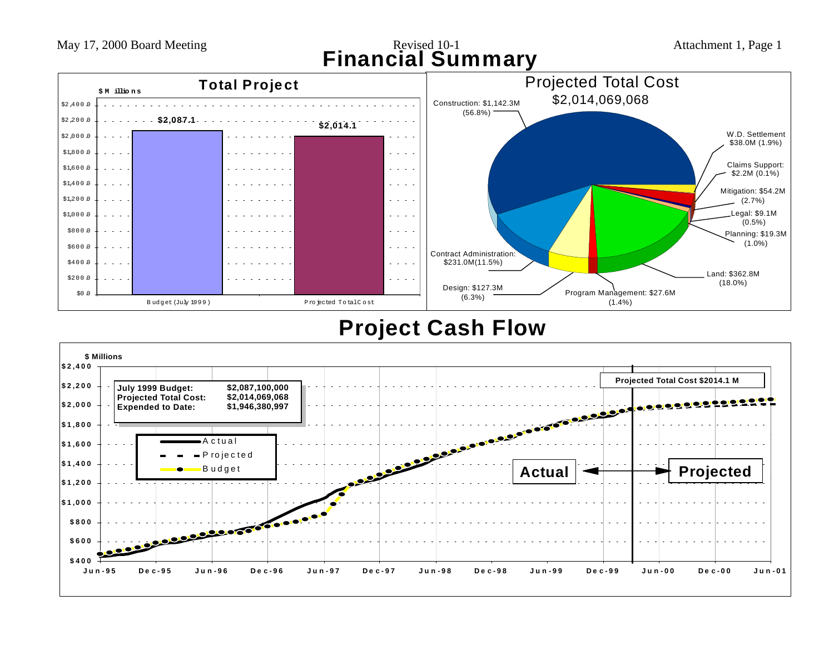May 17, 2000 Board Meeting Revised 10-1 Attachment 1, Page 1 **Financial Summary**



# **Project Cash Flow**

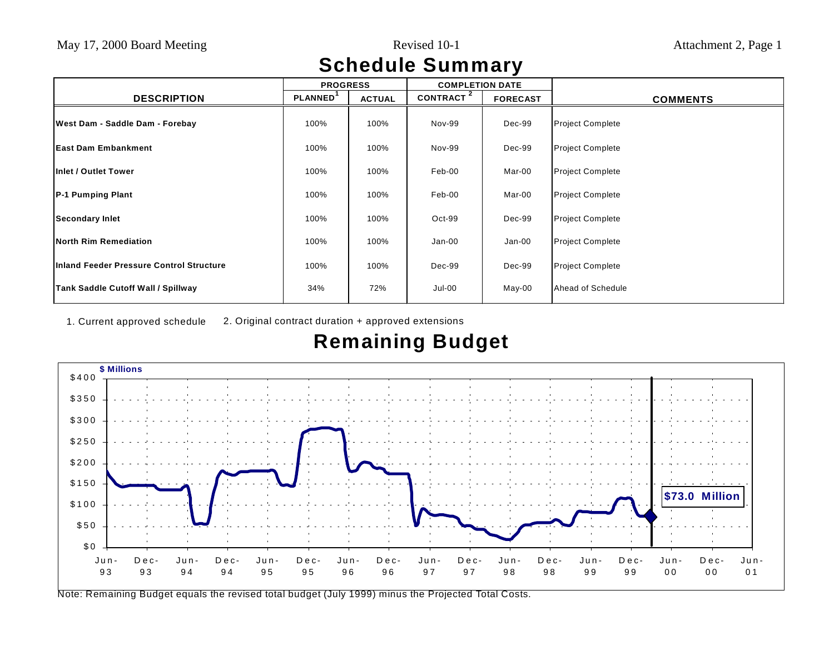# **Schedule Summary**

|                                           | <b>PROGRESS</b>      |               | <b>COMPLETION DATE</b> |                 |                         |
|-------------------------------------------|----------------------|---------------|------------------------|-----------------|-------------------------|
| <b>DESCRIPTION</b>                        | PLANNED <sup>'</sup> | <b>ACTUAL</b> | CONTRACT <sup>2</sup>  | <b>FORECAST</b> | <b>COMMENTS</b>         |
| West Dam - Saddle Dam - Forebay           | 100%                 | 100%          | Nov-99                 | Dec-99          | <b>Project Complete</b> |
| <b>IEast Dam Embankment</b>               | 100%                 | 100%          | Nov-99                 | Dec-99          | <b>Project Complete</b> |
| Inlet / Outlet Tower                      | 100%                 | 100%          | Feb-00                 | Mar-00          | <b>Project Complete</b> |
| <b>P-1 Pumping Plant</b>                  | 100%                 | 100%          | Feb-00                 | Mar-00          | <b>Project Complete</b> |
| <b>Secondary Inlet</b>                    | 100%                 | 100%          | $Oct-99$               | Dec-99          | <b>Project Complete</b> |
| <b>North Rim Remediation</b>              | 100%                 | 100%          | $Jan-00$               | Jan-00          | <b>Project Complete</b> |
| Inland Feeder Pressure Control Structure  | 100%                 | 100%          | Dec-99                 | Dec-99          | <b>Project Complete</b> |
| <b>Tank Saddle Cutoff Wall / Spillway</b> | 34%                  | 72%           | Jul-00                 | May-00          | Ahead of Schedule       |

1. Current approved schedule 2. Original contract duration + approved extensions

# **Remaining Budget**



Note: Remaining Budget equals the revised total budget (July 1999) minus the Projected Total Costs.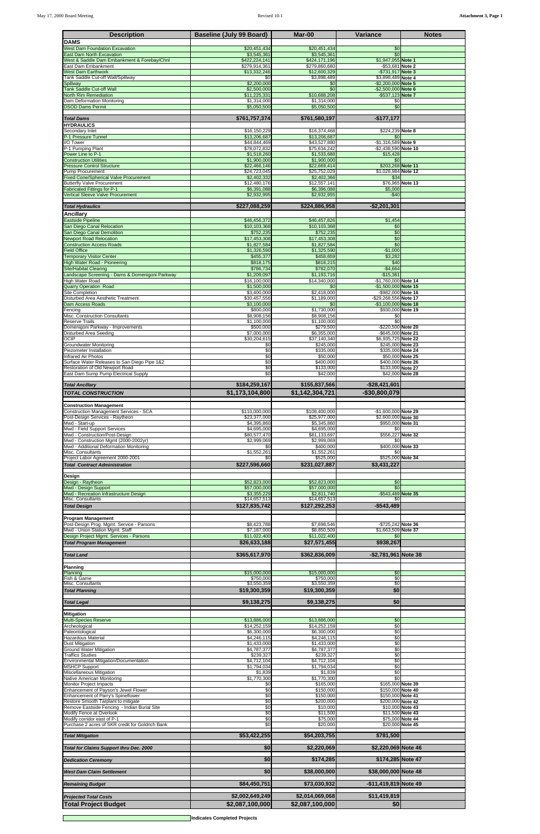| <b>Description</b>                                                                  | <b>Baseline (July 99 Board)</b> | Mar-00                         | Variance                                     | <b>Notes</b>                         |
|-------------------------------------------------------------------------------------|---------------------------------|--------------------------------|----------------------------------------------|--------------------------------------|
| <b>DAMS</b><br><b>West Dam Foundation Excavation</b>                                | \$20,451,434                    | \$20,451,434                   | \$0                                          |                                      |
| <b>East Dam North Excavation</b>                                                    | \$3,545,361<br>\$422,224,141    | \$3,545,361                    | \$0                                          |                                      |
| West & Saddle Dam Embankment & Forebay/Chnl<br>East Dam Embankment                  | \$279,914,361                   | \$424,171,196<br>\$279,860,680 | \$1,947,055 Note 1<br>-\$53,681 Note 2       |                                      |
| <b>West Dam Earthwork</b><br><b>Tank Saddle Cut-off Wall/Spillway</b>               | \$13,332,246<br>\$0             | \$12,600,329<br>\$3,898,489    | -\$731,917 Note 3<br>\$3,898,489 Note 4      |                                      |
| Spillway<br><b>Tank Saddle Cut-off Wall</b>                                         | \$2,200,000<br>\$2,500,000      | \$0<br>\$0                     | -\$2,200,000 Note 5<br>-\$2,500,000 Note 6   |                                      |
| North Rim Remediation<br>Dam Deformation Monitoring                                 | \$11,225,331<br>\$1,314,000     | \$10,688,208<br>\$1,314,000    | -\$537,123 Note 7<br>\$0                     |                                      |
| <b>DSOD Dams Permit</b>                                                             | \$5,050,500                     | \$5,050,500                    | \$0                                          |                                      |
| <b>Total Dams</b>                                                                   | \$761,757,374                   | \$761,580,197                  | $-$177,177$                                  |                                      |
| <b>HYDRAULICS</b><br>Secondary Inlet                                                | \$16,150,229                    | \$16,374,468                   | \$224,239 Note 8                             |                                      |
| P-1 Pressure Tunnel<br>I/O Tower                                                    | \$13,206,687<br>\$44,844,469    | \$13,206,687<br>\$43,527,880   | -\$1,316,589 Note 9                          |                                      |
| P-1 Pumping Plant                                                                   | \$78,072,832                    | \$75,634,242                   | -\$2,438,590 Note 10                         |                                      |
| Power Line to P-1<br><b>Construction Utilities</b>                                  | \$1,518,260<br>\$1,900,000      | \$1,533,688<br>\$1,900,000     | \$15,428<br>\$0                              |                                      |
| <b>Pressure Control Structure</b><br><b>Pump Procurement</b>                        | \$22,466,146<br>\$24,723,045    | \$22,669,414<br>\$25,752,029   | \$203,268 Note 11<br>\$1,028,984 Note 12     |                                      |
| <b>Fixed Cone/Spherical Valve Procurement</b><br><b>Butterfly Valve Procurement</b> | \$2,402,332<br>\$12,480,176     | \$2,402,366<br>\$12,557,141    | \$34                                         | \$76,965 Note 13                     |
| <b>Fabricated Fittings for P-1</b><br>Vertical Sleeve Valve Procurement             | \$6,391,088<br>\$2,932,995      | \$6,396,088<br>\$2,932,955     | \$5,000<br>$-$40$                            |                                      |
| <b>Total Hydraulics</b>                                                             | \$227,088,259                   | \$224,886,958                  | $-$2,201,301$                                |                                      |
| <b>Ancillary</b>                                                                    |                                 |                                |                                              |                                      |
| <b>Eastside Pipeline</b><br>San Diego Canal Relocation                              | \$46,456,372<br>\$10,103,368    | \$46,457,826<br>\$10,103,368   | \$1,454<br>\$0                               |                                      |
| San Diego Canal Demolition<br><b>Newport Road Relocation</b>                        | \$752,235<br>\$17,453,308       | \$752,235<br>\$17,453,308      | \$0<br>\$0                                   |                                      |
| <b>Construction Access Roads</b>                                                    | \$1,827,584                     | \$1,827,584                    | \$0                                          |                                      |
| <b>Field Office</b><br><b>Femporary Visitor Center</b>                              | \$1,326,590<br>\$455,377        | \$1,325,590<br>\$458,659       | $-$1,000$<br>\$3,282                         |                                      |
| High Water Road - Pioneering<br><b>Site/Habitat Clearing</b>                        | \$818,175<br>\$786,734          | \$818,215<br>\$782,070         | \$40<br>$-$4,664$                            |                                      |
| Landscape Screening - Dams & Domenigoni Parkway                                     | \$1,209,097                     | \$1,193,716                    | $-$15,381$                                   |                                      |
| High Water Road<br><b>Quarry Operation Road</b>                                     | \$16,100,000<br>\$1,500,000     | \$14,340,000<br>\$0            | -\$1,760,000 Note 14<br>-\$1,500,000 Note 15 |                                      |
| <b>Site Completion</b><br>Disturbed Area Aesthetic Treatment                        | \$3,400,000<br>\$30,457,556     | \$2,418,000<br>\$1,189,000     | -\$982.000 Note 16<br>-\$29,268,556 Note 17  |                                      |
| Dam Access Roads<br>Fencing                                                         | \$3,100,000<br>\$800,000        | \$0<br>\$1,730,000             | -\$3,100,000 Note 18<br>\$930,000 Note 19    |                                      |
| Misc. Construction Consultants<br>Reserve Trails                                    | \$8,908,156<br>\$1,100,000      | \$8,908,156<br>\$1,100,000     | \$0                                          |                                      |
| Domenigoni Parkway - Improvements<br>Disturbed Area Seeding                         | \$500,000                       | \$279,500<br>\$6,355,000       | -\$220,500 Note 20<br>-\$645,000 Note 21     |                                      |
| <b>OCIP</b>                                                                         | \$7,000,000<br>\$30,204,615     | \$37,140,340                   | \$6,935,725 Note 22                          |                                      |
| Groundwater Monitoring<br>Piezometer Installation                                   | \$0<br>\$0                      | \$245,000<br>\$335,000         | \$245,000 Note 23<br>\$335,000 Note 24       |                                      |
| <b>Infrared Air Photos</b><br>Surface Water Releases to San Diego Pipe 1&2          | \$0<br>\$0                      | \$50,000<br>\$400,000          | \$400,000 Note 26                            | \$50,000 Note 25                     |
| Restoration of Old Newport Road<br>East Dam Sump Pump Electrical Supply             | \$0<br>\$0                      | \$133,000<br>\$42,000          | \$133,000 Note 27                            | \$42,000 Note 28                     |
| <b>Total Ancillary</b>                                                              | \$184,259,167                   | \$155,837,566                  | $-$28,421,601$                               |                                      |
| <b>TOTAL CONSTRUCTION</b>                                                           | \$1,173,104,800                 | \$1,142,304,721                | $-$30,800,079$                               |                                      |
| <b>Construction Management</b>                                                      |                                 |                                |                                              |                                      |
| <b>Construction Management Services - SCA</b><br>Post-Design Services - Raytheon    | \$110,000,000<br>\$23,377,000   | \$108,400,000<br>\$25.977.000  | -\$1,600,000 Note 29<br>\$2,600,000 Note 30  |                                      |
| Mwd - Start-up<br>Mwd - Field Support Services                                      | \$4,395,860<br>\$4,695,000      | \$5,345,860<br>\$4,695,000     | \$950,000 Note 31<br>\$0                     |                                      |
| Mwd - Construction/Post-Design                                                      | \$80,577,470                    | \$81,133,697                   | \$556,227 Note 32                            |                                      |
| Mwd - Construction Mgmt (2000-2002yr)<br>Mwd - Additional Deformation Monitoring    | \$2,999,069<br>\$0              | \$2,999,069<br>\$400,000       | \$0<br>\$400,000 Note 33                     |                                      |
| Misc. Consultants<br>Project Labor Agreement 2000-2001                              | \$1,552,261<br>\$0              | \$1,552,261<br>\$525,000       | \$0<br>\$525,000 Note 34                     |                                      |
| <b>Total Contract Administration</b>                                                | \$227,596,660                   | \$231,027,887                  | \$3,431,227                                  |                                      |
| Design<br>Design - Raytheon                                                         | \$52,823,000                    | \$52,823,000                   | \$0                                          |                                      |
| Mwd - Design Support<br>Mwd - Recreation Infrastructure Design                      | \$57,000,000<br>\$3,355,229     | \$57,000,000<br>\$2,811,740    | \$0<br>-\$543,489 Note 35                    |                                      |
| Misc. Consultants                                                                   | \$14,657,513                    | \$14,657,513                   | \$0                                          |                                      |
| <b>Total Design</b>                                                                 | \$127,835,742                   | \$127,292,253                  | $-$543,489$                                  |                                      |
| <b>Program Management</b><br>Post-Design Prog. Mgmt. Service - Parsons              | \$8,423,788                     | \$7,698,546                    | -\$725,242 Note 36                           |                                      |
| Mwd - Union Station Mgmt. Staff<br>Design Project Mgmt. Services - Parsons          | \$7,187,000<br>\$11,022,400     | \$8,850,509<br>\$11,022,400    | \$1,663,509 Note 37                          |                                      |
| <b>Total Program Management</b>                                                     | \$26,633,188                    | \$27,571,455                   | \$938,267                                    |                                      |
| <b>Total Land</b>                                                                   | \$365,617,970                   | \$362,836,009                  | -\$2,781,961 Note 38                         |                                      |
| Planning                                                                            |                                 |                                |                                              |                                      |
| Planning<br>Fish & Game                                                             | \$15,000,000<br>\$750,000       | \$15,000,000<br>\$750.000      | \$0<br>\$0                                   |                                      |
| Misc. Consultants<br><b>Total Planning</b>                                          | \$3,550,359<br>\$19,300,359     | \$3,550,359<br>\$19,300,359    | \$0<br>\$0                                   |                                      |
|                                                                                     |                                 |                                |                                              |                                      |
| <b>Total Legal</b>                                                                  | \$9,138,275                     | \$9,138,275                    | \$0                                          |                                      |
| <b>Mitigation</b><br>Multi-Species Reserve                                          | \$13,886,000                    | \$13,886,000                   | \$0                                          |                                      |
| Archeological<br>Paleontological                                                    | \$14,252,159<br>\$6,300,000     | \$14,252,159<br>\$6,300,000    | \$0<br>\$0                                   |                                      |
| <b>Hazardous Material</b><br>Dust Mitigation                                        | \$4,246,115<br>\$1,433,000      | \$4,246,115<br>\$1,433,000     | \$0<br>\$0                                   |                                      |
| <b>Ground Water Mitigation</b>                                                      | \$4,787,377<br>\$239,327        | \$4,787,377                    | \$0                                          |                                      |
| <b>Traffics Studies</b><br>Environmental Mitigation/Documentation                   | \$4,712,104                     | \$239,327<br>\$4,712,104       | \$0<br>\$0                                   |                                      |
| <b>MSHCP Support</b><br>Miscellaneous Mitigation                                    | \$1,794,034<br>\$1,839          | \$1,794,034<br>\$1,839         | \$0<br>\$0                                   |                                      |
| Native American Monitoring<br><b>Monitor Project Impacts</b>                        | \$1,770,300<br>\$0              | \$1,770,300<br>\$165,000       | \$0<br>\$165,000 Note 39                     |                                      |
| Enhancement of Payson's Jewel Flower<br>Enhancement of Parry's Spineflower          | \$0<br>\$0                      | \$150,000<br>\$150.000         | \$150,000 Note 40<br>\$150,000 Note 41       |                                      |
| Restore Smooth Tarplant to mitigate<br>Remove Eastside Fencing - Indian Burial Site | \$0<br>\$0                      | \$200,000<br>\$10,000          | \$200.000 Note 42                            | \$10,000 Note 43                     |
| Modify Fence at Overlook<br>Modify corridor east of P-1                             | \$0<br>\$0                      | \$11,500                       |                                              | \$11.500 Note 43<br>\$75,000 Note 44 |
| Purchase 2 acres of SKR credit for Goldrich Bank                                    | \$0                             | \$75,000<br>\$20,000           |                                              | \$20,000 Note 45                     |
| <b>Total Mitigation</b>                                                             | \$53,422,255                    | \$54,203,755                   | \$781,500                                    |                                      |
| Total for Claims Support thru Dec. 2000                                             | \$0                             | \$2,220,069                    | \$2,220,069 Note 46                          |                                      |
| <b>Dedication Ceremony</b>                                                          | \$0                             | \$174,285                      | \$174,285 Note 47                            |                                      |
| <b>West Dam Claim Settlement</b>                                                    | \$0                             | \$38,000,000                   | \$38,000,000 Note 48                         |                                      |
|                                                                                     |                                 |                                |                                              |                                      |
| <b>Remaining Budget</b>                                                             | \$84,450,751                    | \$73,030,932                   | -\$11,419,819 Note 49                        |                                      |
| <b>Projected Total Costs</b><br><b>Total Project Budget</b>                         | \$2,002,649,249                 | \$2,014,069,068                | \$11,419,819                                 |                                      |
|                                                                                     | \$2,087,100,000                 | \$2,087,100,000                | \$0                                          |                                      |

**Indicates Completed Projects**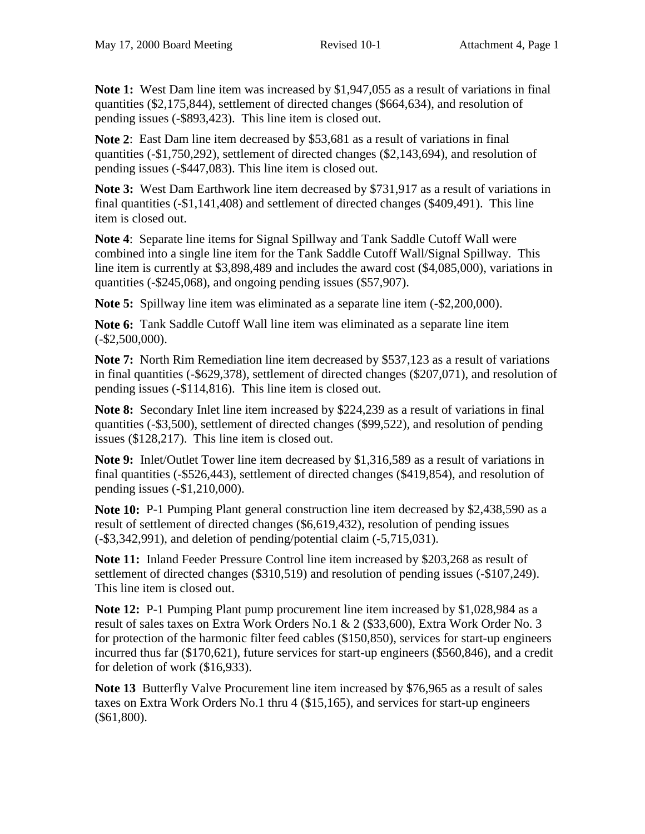**Note 1:** West Dam line item was increased by \$1,947,055 as a result of variations in final quantities (\$2,175,844), settlement of directed changes (\$664,634), and resolution of pending issues (-\$893,423). This line item is closed out.

**Note 2**: East Dam line item decreased by \$53,681 as a result of variations in final quantities (-\$1,750,292), settlement of directed changes (\$2,143,694), and resolution of pending issues (-\$447,083). This line item is closed out.

**Note 3:** West Dam Earthwork line item decreased by \$731,917 as a result of variations in final quantities (-\$1,141,408) and settlement of directed changes (\$409,491). This line item is closed out.

**Note 4**: Separate line items for Signal Spillway and Tank Saddle Cutoff Wall were combined into a single line item for the Tank Saddle Cutoff Wall/Signal Spillway. This line item is currently at \$3,898,489 and includes the award cost (\$4,085,000), variations in quantities (-\$245,068), and ongoing pending issues (\$57,907).

**Note 5:** Spillway line item was eliminated as a separate line item  $(-\$2,200,000)$ .

**Note 6:** Tank Saddle Cutoff Wall line item was eliminated as a separate line item  $(-\$2,500,000)$ .

**Note 7:** North Rim Remediation line item decreased by \$537,123 as a result of variations in final quantities (-\$629,378), settlement of directed changes (\$207,071), and resolution of pending issues (-\$114,816). This line item is closed out.

**Note 8:** Secondary Inlet line item increased by \$224,239 as a result of variations in final quantities (-\$3,500), settlement of directed changes (\$99,522), and resolution of pending issues (\$128,217). This line item is closed out.

**Note 9:** Inlet/Outlet Tower line item decreased by \$1,316,589 as a result of variations in final quantities (-\$526,443), settlement of directed changes (\$419,854), and resolution of pending issues (-\$1,210,000).

**Note 10:** P-1 Pumping Plant general construction line item decreased by \$2,438,590 as a result of settlement of directed changes (\$6,619,432), resolution of pending issues (-\$3,342,991), and deletion of pending/potential claim (-5,715,031).

**Note 11:** Inland Feeder Pressure Control line item increased by \$203,268 as result of settlement of directed changes (\$310,519) and resolution of pending issues (-\$107,249). This line item is closed out.

**Note 12:** P-1 Pumping Plant pump procurement line item increased by \$1,028,984 as a result of sales taxes on Extra Work Orders No.1 & 2 (\$33,600), Extra Work Order No. 3 for protection of the harmonic filter feed cables (\$150,850), services for start-up engineers incurred thus far (\$170,621), future services for start-up engineers (\$560,846), and a credit for deletion of work (\$16,933).

**Note 13** Butterfly Valve Procurement line item increased by \$76,965 as a result of sales taxes on Extra Work Orders No.1 thru 4 (\$15,165), and services for start-up engineers (\$61,800).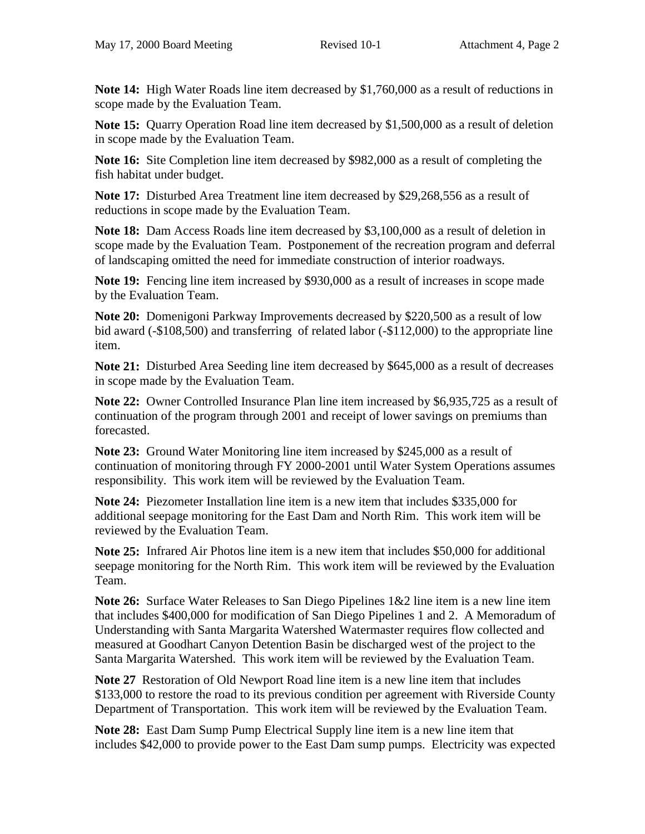**Note 14:** High Water Roads line item decreased by \$1,760,000 as a result of reductions in scope made by the Evaluation Team.

**Note 15:** Quarry Operation Road line item decreased by \$1,500,000 as a result of deletion in scope made by the Evaluation Team.

**Note 16:** Site Completion line item decreased by \$982,000 as a result of completing the fish habitat under budget.

**Note 17:** Disturbed Area Treatment line item decreased by \$29,268,556 as a result of reductions in scope made by the Evaluation Team.

**Note 18:** Dam Access Roads line item decreased by \$3,100,000 as a result of deletion in scope made by the Evaluation Team. Postponement of the recreation program and deferral of landscaping omitted the need for immediate construction of interior roadways.

**Note 19:** Fencing line item increased by \$930,000 as a result of increases in scope made by the Evaluation Team.

**Note 20:** Domenigoni Parkway Improvements decreased by \$220,500 as a result of low bid award (-\$108,500) and transferring of related labor (-\$112,000) to the appropriate line item.

**Note 21:** Disturbed Area Seeding line item decreased by \$645,000 as a result of decreases in scope made by the Evaluation Team.

**Note 22:** Owner Controlled Insurance Plan line item increased by \$6,935,725 as a result of continuation of the program through 2001 and receipt of lower savings on premiums than forecasted.

**Note 23:** Ground Water Monitoring line item increased by \$245,000 as a result of continuation of monitoring through FY 2000-2001 until Water System Operations assumes responsibility. This work item will be reviewed by the Evaluation Team.

**Note 24:** Piezometer Installation line item is a new item that includes \$335,000 for additional seepage monitoring for the East Dam and North Rim. This work item will be reviewed by the Evaluation Team.

**Note 25:** Infrared Air Photos line item is a new item that includes \$50,000 for additional seepage monitoring for the North Rim. This work item will be reviewed by the Evaluation Team.

**Note 26:** Surface Water Releases to San Diego Pipelines 1&2 line item is a new line item that includes \$400,000 for modification of San Diego Pipelines 1 and 2. A Memoradum of Understanding with Santa Margarita Watershed Watermaster requires flow collected and measured at Goodhart Canyon Detention Basin be discharged west of the project to the Santa Margarita Watershed. This work item will be reviewed by the Evaluation Team.

**Note 27** Restoration of Old Newport Road line item is a new line item that includes \$133,000 to restore the road to its previous condition per agreement with Riverside County Department of Transportation. This work item will be reviewed by the Evaluation Team.

**Note 28:** East Dam Sump Pump Electrical Supply line item is a new line item that includes \$42,000 to provide power to the East Dam sump pumps. Electricity was expected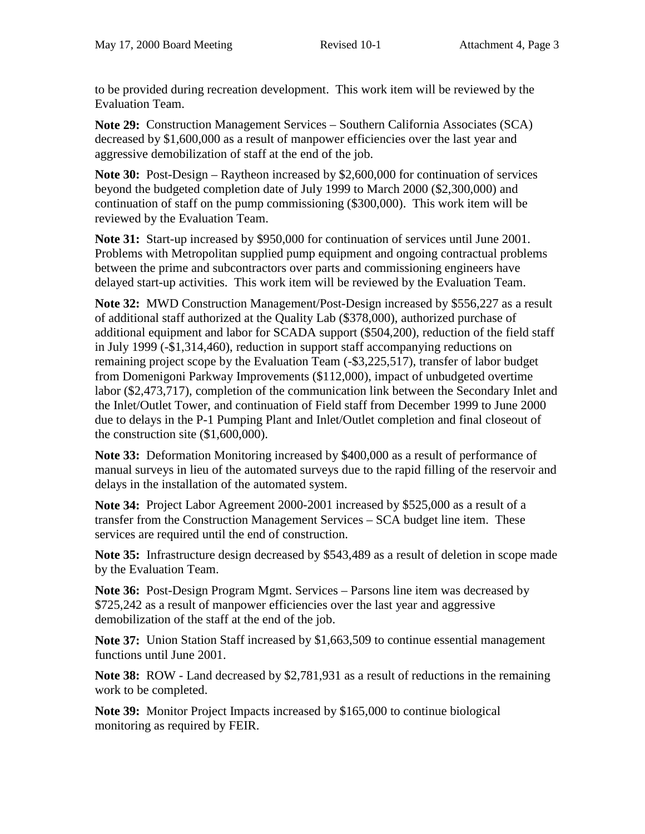to be provided during recreation development. This work item will be reviewed by the Evaluation Team.

**Note 29:** Construction Management Services – Southern California Associates (SCA) decreased by \$1,600,000 as a result of manpower efficiencies over the last year and aggressive demobilization of staff at the end of the job.

**Note 30:** Post-Design – Raytheon increased by \$2,600,000 for continuation of services beyond the budgeted completion date of July 1999 to March 2000 (\$2,300,000) and continuation of staff on the pump commissioning (\$300,000). This work item will be reviewed by the Evaluation Team.

**Note 31:** Start-up increased by \$950,000 for continuation of services until June 2001. Problems with Metropolitan supplied pump equipment and ongoing contractual problems between the prime and subcontractors over parts and commissioning engineers have delayed start-up activities. This work item will be reviewed by the Evaluation Team.

**Note 32:** MWD Construction Management/Post-Design increased by \$556,227 as a result of additional staff authorized at the Quality Lab (\$378,000), authorized purchase of additional equipment and labor for SCADA support (\$504,200), reduction of the field staff in July 1999 (-\$1,314,460), reduction in support staff accompanying reductions on remaining project scope by the Evaluation Team (-\$3,225,517), transfer of labor budget from Domenigoni Parkway Improvements (\$112,000), impact of unbudgeted overtime labor (\$2,473,717), completion of the communication link between the Secondary Inlet and the Inlet/Outlet Tower, and continuation of Field staff from December 1999 to June 2000 due to delays in the P-1 Pumping Plant and Inlet/Outlet completion and final closeout of the construction site (\$1,600,000).

**Note 33:** Deformation Monitoring increased by \$400,000 as a result of performance of manual surveys in lieu of the automated surveys due to the rapid filling of the reservoir and delays in the installation of the automated system.

**Note 34:** Project Labor Agreement 2000-2001 increased by \$525,000 as a result of a transfer from the Construction Management Services – SCA budget line item. These services are required until the end of construction.

**Note 35:** Infrastructure design decreased by \$543,489 as a result of deletion in scope made by the Evaluation Team.

**Note 36:** Post-Design Program Mgmt. Services – Parsons line item was decreased by \$725,242 as a result of manpower efficiencies over the last year and aggressive demobilization of the staff at the end of the job.

**Note 37:** Union Station Staff increased by \$1,663,509 to continue essential management functions until June 2001.

**Note 38:** ROW - Land decreased by \$2,781,931 as a result of reductions in the remaining work to be completed.

**Note 39:** Monitor Project Impacts increased by \$165,000 to continue biological monitoring as required by FEIR.